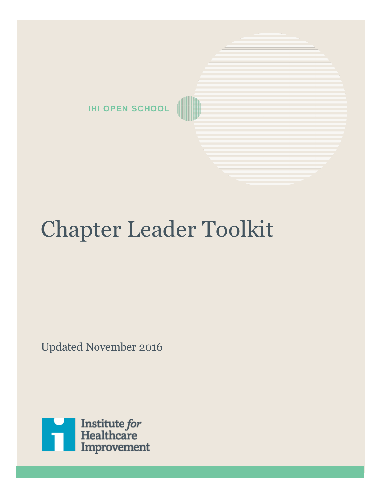

# Chapter Leader Toolkit

Updated November 2016

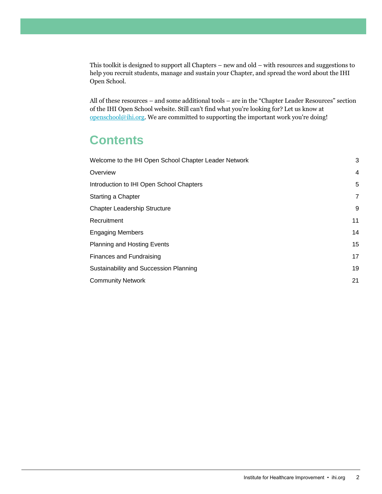This toolkit is designed to support all Chapters – new and old – with resources and suggestions to help you recruit students, manage and sustain your Chapter, and spread the word about the IHI Open School.

All of these resources – and some additional tools – are in the "Chapter Leader Resources" section of the IHI Open School website. Still can't find what you're looking for? Let us know at [openschool@ihi.org.](mailto:openschool@ihi.org) We are committed to supporting the important work you're doing!

# **Contents**

| Welcome to the IHI Open School Chapter Leader Network |    |
|-------------------------------------------------------|----|
| Overview                                              | 4  |
| Introduction to IHI Open School Chapters              | 5  |
| <b>Starting a Chapter</b>                             | 7  |
| <b>Chapter Leadership Structure</b>                   | 9  |
| Recruitment                                           | 11 |
| <b>Engaging Members</b>                               | 14 |
| <b>Planning and Hosting Events</b>                    | 15 |
| Finances and Fundraising                              | 17 |
| Sustainability and Succession Planning                | 19 |
| <b>Community Network</b>                              | 21 |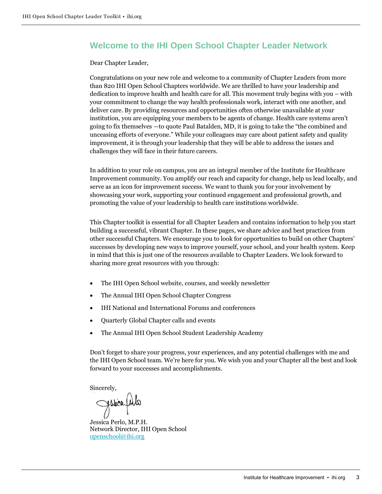# <span id="page-2-0"></span>**Welcome to the IHI Open School Chapter Leader Network**

Dear Chapter Leader,

Congratulations on your new role and welcome to a community of Chapter Leaders from more than 820 IHI Open School Chapters worldwide. We are thrilled to have your leadership and dedication to improve health and health care for all. This movement truly begins with you – with your commitment to change the way health professionals work, interact with one another, and deliver care. By providing resources and opportunities often otherwise unavailable at your institution, you are equipping your members to be agents of change. Health care systems aren't going to fix themselves —to quote Paul Batalden, MD, it is going to take the "the combined and unceasing efforts of everyone." While your colleagues may care about patient safety and quality improvement, it is through your leadership that they will be able to address the issues and challenges they will face in their future careers.

In addition to your role on campus, you are an integral member of the Institute for Healthcare Improvement community. You amplify our reach and capacity for change, help us lead locally, and serve as an icon for improvement success. We want to thank you for your involvement by showcasing your work, supporting your continued engagement and professional growth, and promoting the value of your leadership to health care institutions worldwide.

This Chapter toolkit is essential for all Chapter Leaders and contains information to help you start building a successful, vibrant Chapter. In these pages, we share advice and best practices from other successful Chapters. We encourage you to look for opportunities to build on other Chapters' successes by developing new ways to improve yourself, your school, and your health system. Keep in mind that this is just one of the resources available to Chapter Leaders. We look forward to sharing more great resources with you through:

- The IHI Open School website, courses, and weekly newsletter
- The Annual IHI Open School Chapter Congress
- IHI National and International Forums and conferences
- Quarterly Global Chapter calls and events
- The Annual IHI Open School Student Leadership Academy

Don't forget to share your progress, your experiences, and any potential challenges with me and the IHI Open School team. We're here for you. We wish you and your Chapter all the best and look forward to your successes and accomplishments.

Sincerely,

Julia

Jessica Perlo, M.P.H. Network Director, IHI Open School [openschool@ihi.org](mailto:openschool@ihi.org)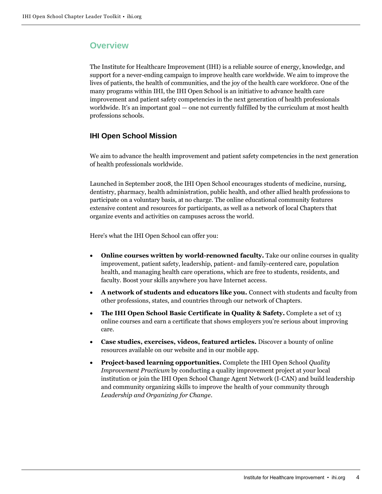# <span id="page-3-0"></span>**Overview**

The Institute for Healthcare Improvement (IHI) is a reliable source of energy, knowledge, and support for a never-ending campaign to improve health care worldwide. We aim to improve the lives of patients, the health of communities, and the joy of the health care workforce. One of the many programs within IHI, the IHI Open School is an initiative to advance health care improvement and patient safety competencies in the next generation of health professionals worldwide. It's an important goal — one not currently fulfilled by the curriculum at most health professions schools.

# **IHI Open School Mission**

We aim to advance the health improvement and patient safety competencies in the next generation of health professionals worldwide.

Launched in September 2008, the IHI Open School encourages students of medicine, nursing, dentistry, pharmacy, health administration, public health, and other allied health professions to participate on a voluntary basis, at no charge. The online educational community features extensive content and resources for participants, as well as a network of local Chapters that organize events and activities on campuses across the world.

Here's what the IHI Open School can offer you:

- **Online courses written by world-renowned faculty.** Take our online courses in quality improvement, patient safety, leadership, patient- and family-centered care, population health, and managing health care operations, which are free to students, residents, and faculty. Boost your skills anywhere you have Internet access.
- A network of students and educators like you. Connect with students and faculty from other professions, states, and countries through our network of Chapters.
- **The IHI Open School Basic Certificate in Quality & Safety.** Complete a set of 13 online courses and earn a certificate that shows employers you're serious about improving care.
- **Case studies, exercises, videos, featured articles.** Discover a bounty of online resources available on our website and in our mobile app.
- **Project-based learning opportunities.** Complete the IHI Open School *Quality Improvement Practicum* by conducting a quality improvement project at your local institution or join the IHI Open School Change Agent Network (I-CAN) and build leadership and community organizing skills to improve the health of your community through *Leadership and Organizing for Change*.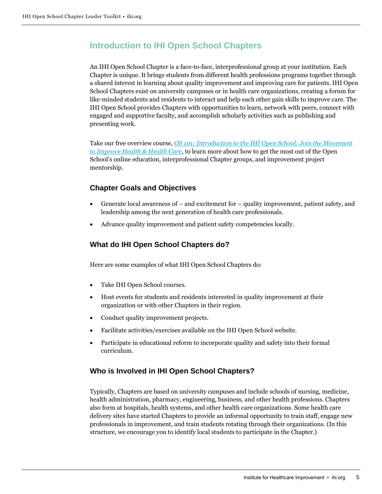# <span id="page-4-0"></span>**Introduction to IHI Open School Chapters**

An IHI Open School Chapter is a face-to-face, interprofessional group at your institution. Each Chapter is unique. It brings students from different health professions programs together through a shared interest in learning about quality improvement and improving care for patients. IHI Open School Chapters exist on university campuses or in health care organizations, creating a forum for like-minded students and residents to interact and help each other gain skills to improve care. The IHI Open School provides Chapters with opportunities to learn, network with peers, connect with engaged and supportive faculty, and accomplish scholarly activities such as publishing and presenting work.

Take our free overview course, *[OS 101: Introduction to the IHI Open School: Join the Movement](http://www.ihi.org/education/IHIOpenSchool/Courses/Pages/IntroductionToTheIHIOpenSchool.aspx)  [to Improve Health & Health Care,](http://www.ihi.org/education/IHIOpenSchool/Courses/Pages/IntroductionToTheIHIOpenSchool.aspx)* to learn more about how to get the most out of the Open School's online education, interprofessional Chapter groups, and improvement project mentorship.

# **Chapter Goals and Objectives**

- Generate local awareness of and excitement for quality improvement, patient safety, and leadership among the next generation of health care professionals.
- Advance quality improvement and patient safety competencies locally.

# **What do IHI Open School Chapters do?**

Here are some examples of what IHI Open School Chapters do:

- Take IHI Open School courses.
- Host events for students and residents interested in quality improvement at their organization or with other Chapters in their region.
- Conduct quality improvement projects.
- Facilitate activities/exercises available on the IHI Open School website.
- Participate in educational reform to incorporate quality and safety into their formal curriculum.

#### **Who is Involved in IHI Open School Chapters?**

Typically, Chapters are based on university campuses and include schools of nursing, medicine, health administration, pharmacy, engineering, business, and other health professions. Chapters also form at hospitals, health systems, and other health care organizations. Some health care delivery sites have started Chapters to provide an informal opportunity to train staff, engage new professionals in improvement, and train students rotating through their organizations. (In this structure, we encourage you to identify local students to participate in the Chapter.)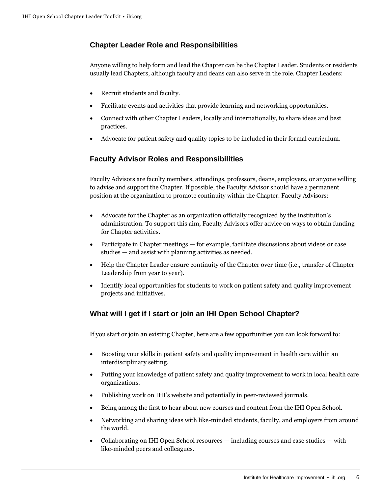# **Chapter Leader Role and Responsibilities**

Anyone willing to help form and lead the Chapter can be the Chapter Leader. Students or residents usually lead Chapters, although faculty and deans can also serve in the role. Chapter Leaders:

- Recruit students and faculty.
- Facilitate events and activities that provide learning and networking opportunities.
- Connect with other Chapter Leaders, locally and internationally, to share ideas and best practices.
- Advocate for patient safety and quality topics to be included in their formal curriculum.

## **Faculty Advisor Roles and Responsibilities**

Faculty Advisors are faculty members, attendings, professors, deans, employers, or anyone willing to advise and support the Chapter. If possible, the Faculty Advisor should have a permanent position at the organization to promote continuity within the Chapter. Faculty Advisors:

- Advocate for the Chapter as an organization officially recognized by the institution's administration. To support this aim, Faculty Advisors offer advice on ways to obtain funding for Chapter activities.
- Participate in Chapter meetings for example, facilitate discussions about videos or case studies — and assist with planning activities as needed.
- Help the Chapter Leader ensure continuity of the Chapter over time (i.e., transfer of Chapter Leadership from year to year).
- Identify local opportunities for students to work on patient safety and quality improvement projects and initiatives.

# **What will I get if I start or join an IHI Open School Chapter?**

If you start or join an existing Chapter, here are a few opportunities you can look forward to:

- Boosting your skills in patient safety and quality improvement in health care within an interdisciplinary setting.
- Putting your knowledge of patient safety and quality improvement to work in local health care organizations.
- Publishing work on IHI's website and potentially in peer-reviewed journals.
- Being among the first to hear about new courses and content from the IHI Open School.
- Networking and sharing ideas with like-minded students, faculty, and employers from around the world.
- Collaborating on IHI Open School resources including courses and case studies with like-minded peers and colleagues.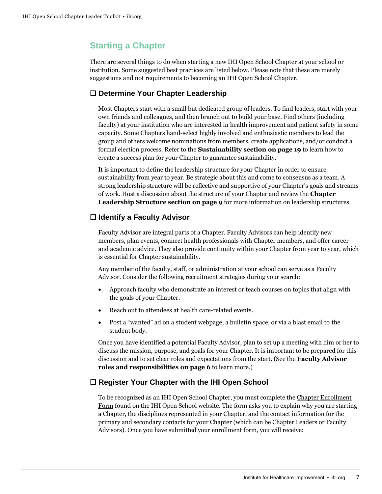# <span id="page-6-0"></span>**Starting a Chapter**

There are several things to do when starting a new IHI Open School Chapter at your school or institution. Some suggested best practices are listed below. Please note that these are merely suggestions and not requirements to becoming an IHI Open School Chapter.

# **Determine Your Chapter Leadership**

Most Chapters start with a small but dedicated group of leaders. To find leaders, start with your own friends and colleagues, and then branch out to build your base. Find others (including faculty) at your institution who are interested in health improvement and patient safety in some capacity. Some Chapters hand-select highly involved and enthusiastic members to lead the group and others welcome nominations from members, create applications, and/or conduct a formal election process. Refer to the **Sustainability section on page 19** to learn how to create a success plan for your Chapter to guarantee sustainability.

It is important to define the leadership structure for your Chapter in order to ensure sustainability from year to year. Be strategic about this and come to consensus as a team. A strong leadership structure will be reflective and supportive of your Chapter's goals and streams of work. Host a discussion about the structure of your Chapter and review the **Chapter Leadership Structure section on page 9** for more information on leadership structures.

# **Identify a Faculty Advisor**

Faculty Advisor are integral parts of a Chapter. Faculty Advisors can help identify new members, plan events, connect health professionals with Chapter members, and offer career and academic advice. They also provide continuity within your Chapter from year to year, which is essential for Chapter sustainability.

Any member of the faculty, staff, or administration at your school can serve as a Faculty Advisor. Consider the following recruitment strategies during your search:

- Approach faculty who demonstrate an interest or teach courses on topics that align with the goals of your Chapter.
- Reach out to attendees at health care-related events.
- Post a "wanted" ad on a student webpage, a bulletin space, or via a blast email to the student body.

Once you have identified a potential Faculty Advisor, plan to set up a meeting with him or her to discuss the mission, purpose, and goals for your Chapter. It is important to be prepared for this discussion and to set clear roles and expectations from the start. (See the **Faculty Advisor roles and responsibilities on page 6** to learn more.)

# **Register Your Chapter with the IHI Open School**

To be recognized as an IHI Open School Chapter, you must complete the Chapter Enrollment Form found on the IHI Open School website. The form asks you to explain why you are starting a Chapter, the disciplines represented in your Chapter, and the contact information for the primary and secondary contacts for your Chapter (which can be Chapter Leaders or Faculty Advisors). Once you have submitted your enrollment form, you will receive: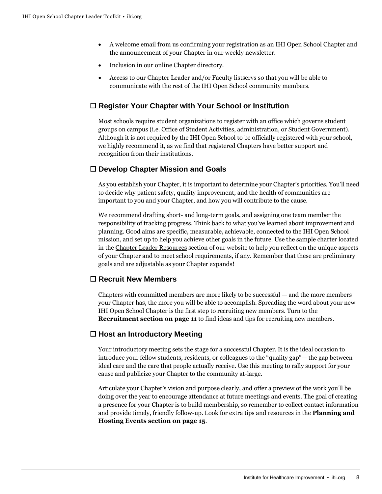- A welcome email from us confirming your registration as an IHI Open School Chapter and the announcement of your Chapter in our weekly newsletter.
- Inclusion in our online Chapter directory.
- Access to our Chapter Leader and/or Faculty listservs so that you will be able to communicate with the rest of the IHI Open School community members.

## **Register Your Chapter with Your School or Institution**

Most schools require student organizations to register with an office which governs student groups on campus (i.e. Office of Student Activities, administration, or Student Government). Although it is not required by the IHI Open School to be officially registered with your school, we highly recommend it, as we find that registered Chapters have better support and recognition from their institutions.

## **Develop Chapter Mission and Goals**

As you establish your Chapter, it is important to determine your Chapter's priorities. You'll need to decide why patient safety, quality improvement, and the health of communities are important to you and your Chapter, and how you will contribute to the cause.

We recommend drafting short- and long-term goals, and assigning one team member the responsibility of tracking progress. Think back to what you've learned about improvement and planning. Good aims are specific, measurable, achievable, connected to the IHI Open School mission, and set up to help you achieve other goals in the future. Use the sample charter located in the Chapter Leader Resources section of our website to help you reflect on the unique aspects of your Chapter and to meet school requirements, if any. Remember that these are preliminary goals and are adjustable as your Chapter expands!

# **Recruit New Members**

Chapters with committed members are more likely to be successful — and the more members your Chapter has, the more you will be able to accomplish. Spreading the word about your new IHI Open School Chapter is the first step to recruiting new members. Turn to the **Recruitment section on page 11** to find ideas and tips for recruiting new members.

#### **Host an Introductory Meeting**

Your introductory meeting sets the stage for a successful Chapter. It is the ideal occasion to introduce your fellow students, residents, or colleagues to the "quality gap"— the gap between ideal care and the care that people actually receive. Use this meeting to rally support for your cause and publicize your Chapter to the community at-large.

Articulate your Chapter's vision and purpose clearly, and offer a preview of the work you'll be doing over the year to encourage attendance at future meetings and events. The goal of creating a presence for your Chapter is to build membership, so remember to collect contact information and provide timely, friendly follow-up. Look for extra tips and resources in the **Planning and Hosting Events section on page 15**.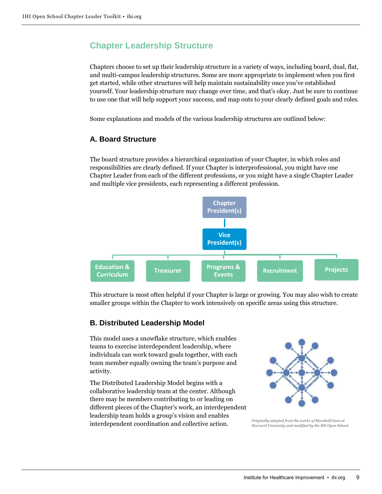# <span id="page-8-0"></span>**Chapter Leadership Structure**

Chapters choose to set up their leadership structure in a variety of ways, including board, dual, flat, and multi-campus leadership structures. Some are more appropriate to implement when you first get started, while other structures will help maintain sustainability once you've established yourself. Your leadership structure may change over time, and that's okay. Just be sure to continue to use one that will help support your success, and map outs to your clearly defined goals and roles.

Some explanations and models of the various leadership structures are outlined below:

# **A. Board Structure**

The board structure provides a hierarchical organization of your Chapter, in which roles and responsibilities are clearly defined. If your Chapter is interprofessional, you might have one Chapter Leader from each of the different professions, or you might have a single Chapter Leader and multiple vice presidents, each representing a different profession.



This structure is most often helpful if your Chapter is large or growing. You may also wish to create smaller groups within the Chapter to work intensively on specific areas using this structure.

## **B. Distributed Leadership Model**

This model uses a snowflake structure, which enables teams to exercise interdependent leadership, where individuals can work toward goals together, with each team member equally owning the team's purpose and activity.

The Distributed Leadership Model begins with a collaborative leadership team at the center. Although there may be members contributing to or leading on different pieces of the Chapter's work, an interdependent leadership team holds a group's vision and enables interdependent coordination and collective action.



*Originally adapted from the works of Marshall Ganz at Harvard University and modified by the IHI Open School.*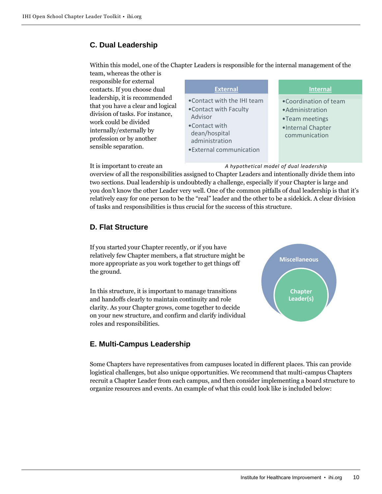# **C. Dual Leadership**

Within this model, one of the Chapter Leaders is responsible for the internal management of the team, whereas the other is

responsible for external contacts. If you choose dual leadership, it is recommended that you have a clear and logic division of tasks. For instance, work could be divided internally/externally by profession or by another sensible separation.

|    | <b>External</b>                                                                                                                                  | <b>Internal</b>                                                                                   |
|----|--------------------------------------------------------------------------------------------------------------------------------------------------|---------------------------------------------------------------------------------------------------|
| al | • Contact with the IHI team<br>. Contact with Faculty<br>Advisor<br>•Contact with<br>dean/hospital<br>administration<br>• External communication | •Coordination of team<br>• Administration<br>•Team meetings<br>·Internal Chapter<br>communication |

*A hypothetical model of dual leadership*

It is important to create an

overview of all the responsibilities assigned to Chapter Leaders and intentionally divide them into two sections. Dual leadership is undoubtedly a challenge, especially if your Chapter is large and you don't know the other Leader very well. One of the common pitfalls of dual leadership is that it's relatively easy for one person to be the "real" leader and the other to be a sidekick. A clear division of tasks and responsibilities is thus crucial for the success of this structure.

# **D. Flat Structure**

If you started your Chapter recently, or if you have relatively few Chapter members, a flat structure might be more appropriate as you work together to get things off the ground.

In this structure, it is important to manage transitions and handoffs clearly to maintain continuity and role clarity. As your Chapter grows, come together to decide on your new structure, and confirm and clarify individual roles and responsibilities.

# **E. Multi-Campus Leadership**

**Miscellaneous Chapter Leader(s)**

Some Chapters have representatives from campuses located in different places. This can provide logistical challenges, but also unique opportunities. We recommend that multi-campus Chapters recruit a Chapter Leader from each campus, and then consider implementing a board structure to organize resources and events. An example of what this could look like is included below: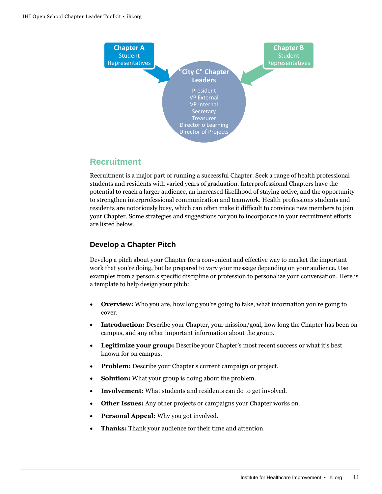

# <span id="page-10-0"></span>**Recruitment**

Recruitment is a major part of running a successful Chapter. Seek a range of health professional students and residents with varied years of graduation. Interprofessional Chapters have the potential to reach a larger audience, an increased likelihood of staying active, and the opportunity to strengthen interprofessional communication and teamwork. Health professions students and residents are notoriously busy, which can often make it difficult to convince new members to join your Chapter. Some strategies and suggestions for you to incorporate in your recruitment efforts are listed below.

# **Develop a Chapter Pitch**

Develop a pitch about your Chapter for a convenient and effective way to market the important work that you're doing, but be prepared to vary your message depending on your audience. Use examples from a person's specific discipline or profession to personalize your conversation. Here is a template to help design your pitch:

- **Overview:** Who you are, how long you're going to take, what information you're going to cover.
- **Introduction:** Describe your Chapter, your mission/goal, how long the Chapter has been on campus, and any other important information about the group.
- **Legitimize your group:** Describe your Chapter's most recent success or what it's best known for on campus.
- **Problem:** Describe your Chapter's current campaign or project.
- **Solution:** What your group is doing about the problem.
- **Involvement:** What students and residents can do to get involved.
- **Other Issues:** Any other projects or campaigns your Chapter works on.
- **Personal Appeal:** Why you got involved.
- **Thanks:** Thank your audience for their time and attention.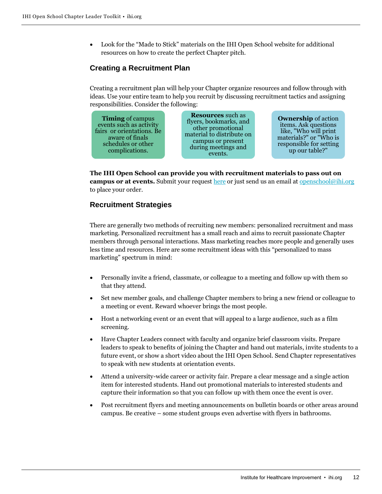• Look for the "Made to Stick" materials on the IHI Open School website for additional resources on how to create the perfect Chapter pitch.

# **Creating a Recruitment Plan**

Creating a recruitment plan will help your Chapter organize resources and follow through with ideas. Use your entire team to help you recruit by discussing recruitment tactics and assigning responsibilities. Consider the following:



**The IHI Open School can provide you with recruitment materials to pass out on campus or at events.** Submit your request [here](https://docs.google.com/forms/d/1wS2im1LHXmA8akOb240pO3bHyr-8rIMA_1OARkX7Oaw/viewform?formkey=dDg4WWJxcGFmbHp6X2xobVg2VV92aXc6MQ) or just send us an email at [openschool@ihi.org](mailto:openschool@ihi.org) to place your order.

## **Recruitment Strategies**

There are generally two methods of recruiting new members: personalized recruitment and mass marketing. Personalized recruitment has a small reach and aims to recruit passionate Chapter members through personal interactions. Mass marketing reaches more people and generally uses less time and resources. Here are some recruitment ideas with this "personalized to mass marketing" spectrum in mind:

- Personally invite a friend, classmate, or colleague to a meeting and follow up with them so that they attend.
- Set new member goals, and challenge Chapter members to bring a new friend or colleague to a meeting or event. Reward whoever brings the most people.
- Host a networking event or an event that will appeal to a large audience, such as a film screening.
- Have Chapter Leaders connect with faculty and organize brief classroom visits. Prepare leaders to speak to benefits of joining the Chapter and hand out materials, invite students to a future event, or show a short video about the IHI Open School. Send Chapter representatives to speak with new students at orientation events.
- Attend a university-wide career or activity fair. Prepare a clear message and a single action item for interested students. Hand out promotional materials to interested students and capture their information so that you can follow up with them once the event is over.
- Post recruitment flyers and meeting announcements on bulletin boards or other areas around campus. Be creative – some student groups even advertise with flyers in bathrooms.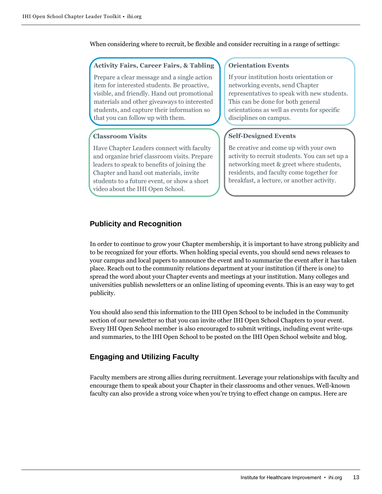When considering where to recruit, be flexible and consider recruiting in a range of settings:

#### **Activity Fairs, Career Fairs, & Tabling**

Prepare a clear message and a single action item for interested students. Be proactive, visible, and friendly. Hand out promotional materials and other giveaways to interested students, and capture their information so that you can follow up with them.

#### **Classroom Visits**

Have Chapter Leaders connect with faculty and organize brief classroom visits. Prepare leaders to speak to benefits of joining the Chapter and hand out materials, invite students to a future event, or show a short video about the IHI Open School.

#### **Orientation Events**

If your institution hosts orientation or networking events, send Chapter representatives to speak with new students. This can be done for both general orientations as well as events for specific disciplines on campus.

#### **Self-Designed Events**

Be creative and come up with your own activity to recruit students. You can set up a networking meet & greet where students, residents, and faculty come together for breakfast, a lecture, or another activity.

## **Publicity and Recognition**

In order to continue to grow your Chapter membership, it is important to have strong publicity and to be recognized for your efforts. When holding special events, you should send news releases to your campus and local papers to announce the event and to summarize the event after it has taken place. Reach out to the community relations department at your institution (if there is one) to spread the word about your Chapter events and meetings at your institution. Many colleges and universities publish newsletters or an online listing of upcoming events. This is an easy way to get publicity.

You should also send this information to the IHI Open School to be included in the Community section of our newsletter so that you can invite other IHI Open School Chapters to your event. Every IHI Open School member is also encouraged to submit writings, including event write-ups and summaries, to the IHI Open School to be posted on the IHI Open School website and blog.

## **Engaging and Utilizing Faculty**

Faculty members are strong allies during recruitment. Leverage your relationships with faculty and encourage them to speak about your Chapter in their classrooms and other venues. Well-known faculty can also provide a strong voice when you're trying to effect change on campus. Here are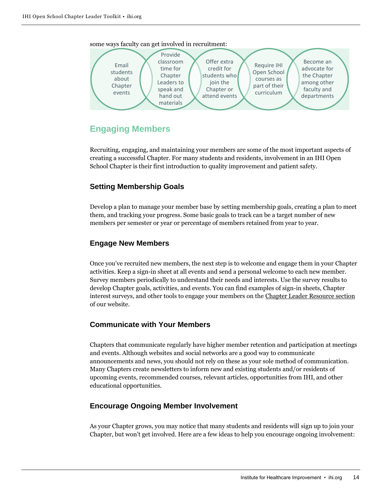

some ways faculty can get involved in recruitment:

# <span id="page-13-0"></span>**Engaging Members**

Recruiting, engaging, and maintaining your members are some of the most important aspects of creating a successful Chapter. For many students and residents, involvement in an IHI Open School Chapter is their first introduction to quality improvement and patient safety.

# **Setting Membership Goals**

Develop a plan to manage your member base by setting membership goals, creating a plan to meet them, and tracking your progress. Some basic goals to track can be a target number of new members per semester or year or percentage of members retained from year to year.

# **Engage New Members**

Once you've recruited new members, the next step is to welcome and engage them in your Chapter activities. Keep a sign-in sheet at all events and send a personal welcome to each new member. Survey members periodically to understand their needs and interests. Use the survey results to develop Chapter goals, activities, and events. You can find examples of sign-in sheets, Chapter interest surveys, and other tools to engage your members on the Chapter Leader Resource section of our website.

# **Communicate with Your Members**

Chapters that communicate regularly have higher member retention and participation at meetings and events. Although websites and social networks are a good way to communicate announcements and news, you should not rely on these as your sole method of communication. Many Chapters create newsletters to inform new and existing students and/or residents of upcoming events, recommended courses, relevant articles, opportunities from IHI, and other educational opportunities.

# **Encourage Ongoing Member Involvement**

As your Chapter grows, you may notice that many students and residents will sign up to join your Chapter, but won't get involved. Here are a few ideas to help you encourage ongoing involvement: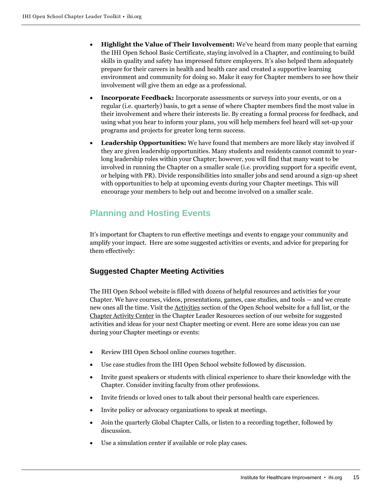- **Highlight the Value of Their Involvement:** We've heard from many people that earning the IHI Open School Basic Certificate, staying involved in a Chapter, and continuing to build skills in quality and safety has impressed future employers. It's also helped them adequately prepare for their careers in health and health care and created a supportive learning environment and community for doing so. Make it easy for Chapter members to see how their involvement will give them an edge as a professional.
- **Incorporate Feedback:** Incorporate assessments or surveys into your events, or on a regular (i.e. quarterly) basis, to get a sense of where Chapter members find the most value in their involvement and where their interests lie. By creating a formal process for feedback, and using what you hear to inform your plans, you will help members feel heard will set-up your programs and projects for greater long term success.
- **Leadership Opportunities:** We have found that members are more likely stay involved if they are given leadership opportunities. Many students and residents cannot commit to yearlong leadership roles within your Chapter; however, you will find that many want to be involved in running the Chapter on a smaller scale (i.e. providing support for a specific event, or helping with PR). Divide responsibilities into smaller jobs and send around a sign-up sheet with opportunities to help at upcoming events during your Chapter meetings. This will encourage your members to help out and become involved on a smaller scale.

# <span id="page-14-0"></span>**Planning and Hosting Events**

It's important for Chapters to run effective meetings and events to engage your community and amplify your impact. Here are some suggested activities or events, and advice for preparing for them effectively:

# **Suggested Chapter Meeting Activities**

The IHI Open School website is filled with dozens of helpful resources and activities for your Chapter. We have courses, videos, presentations, games, case studies, and tools — and we create new ones all the time. Visit the Activities section of the Open School website for a full list, or the Chapter Activity Center in the Chapter Leader Resources section of our website for suggested activities and ideas for your next Chapter meeting or event. Here are some ideas you can use during your Chapter meetings or events:

- Review IHI Open School online courses together.
- Use case studies from the IHI Open School website followed by discussion.
- Invite guest speakers or students with clinical experience to share their knowledge with the Chapter. Consider inviting faculty from other professions.
- Invite friends or loved ones to talk about their personal health care experiences.
- Invite policy or advocacy organizations to speak at meetings.
- Join the quarterly Global Chapter Calls, or listen to a recording together, followed by discussion.
- Use a simulation center if available or role play cases.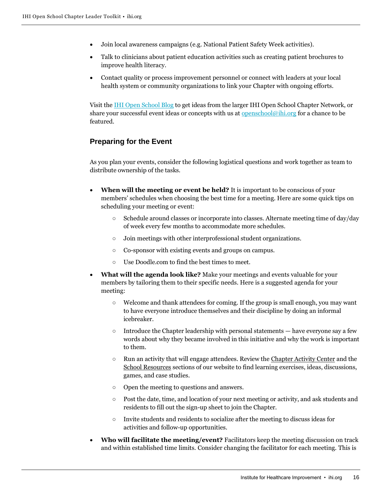- Join local awareness campaigns (e.g. National Patient Safety Week activities).
- Talk to clinicians about patient education activities such as creating patient brochures to improve health literacy.
- Contact quality or process improvement personnel or connect with leaders at your local health system or community organizations to link your Chapter with ongoing efforts.

Visit th[e IHI Open School Blog](http://www.ihi.org/education/IHIOpenSchool/blogs/_layouts/ihi/community/blog/viewblog.aspx?List=9f16d15b-5aab-4613-a17a-076c64a9e912) to get ideas from the larger IHI Open School Chapter Network, or share your successful event ideas or concepts with us at <u>openschool@ihi.org</u> for a chance to be featured.

## **Preparing for the Event**

As you plan your events, consider the following logistical questions and work together as team to distribute ownership of the tasks.

- **When will the meeting or event be held?** It is important to be conscious of your members' schedules when choosing the best time for a meeting. Here are some quick tips on scheduling your meeting or event:
	- Schedule around classes or incorporate into classes. Alternate meeting time of day/day of week every few months to accommodate more schedules.
	- Join meetings with other interprofessional student organizations.
	- Co-sponsor with existing events and groups on campus.
	- Use Doodle.com to find the best times to meet.
- **What will the agenda look like?** Make your meetings and events valuable for your members by tailoring them to their specific needs. Here is a suggested agenda for your meeting:
	- Welcome and thank attendees for coming. If the group is small enough, you may want to have everyone introduce themselves and their discipline by doing an informal icebreaker.
	- $\circ$  Introduce the Chapter leadership with personal statements have everyone say a few words about why they became involved in this initiative and why the work is important to them.
	- Run an activity that will engage attendees. Review the Chapter Activity Center and the School Resources sections of our website to find learning exercises, ideas, discussions, games, and case studies.
	- Open the meeting to questions and answers.
	- Post the date, time, and location of your next meeting or activity, and ask students and residents to fill out the sign-up sheet to join the Chapter.
	- Invite students and residents to socialize after the meeting to discuss ideas for activities and follow-up opportunities.
- **Who will facilitate the meeting/event?** Facilitators keep the meeting discussion on track and within established time limits. Consider changing the facilitator for each meeting. This is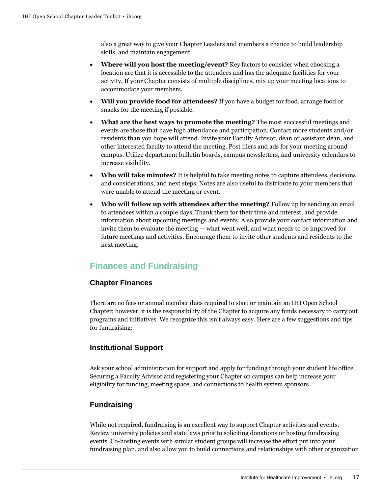also a great way to give your Chapter Leaders and members a chance to build leadership skills, and maintain engagement.

- **Where will you host the meeting/event?** Key factors to consider when choosing a location are that it is accessible to the attendees and has the adequate facilities for your activity. If your Chapter consists of multiple disciplines, mix up your meeting locations to accommodate your members.
- **Will you provide food for attendees?** If you have a budget for food, arrange food or snacks for the meeting if possible.
- **What are the best ways to promote the meeting?** The most successful meetings and events are those that have high attendance and participation. Contact more students and/or residents than you hope will attend. Invite your Faculty Advisor, dean or assistant dean, and other interested faculty to attend the meeting. Post fliers and ads for your meeting around campus. Utilize department bulletin boards, campus newsletters, and university calendars to increase visibility.
- **Who will take minutes?** It is helpful to take meeting notes to capture attendees, decisions and considerations, and next steps. Notes are also useful to distribute to your members that were unable to attend the meeting or event.
- **Who will follow up with attendees after the meeting?** Follow up by sending an email to attendees within a couple days. Thank them for their time and interest, and provide information about upcoming meetings and events. Also provide your contact information and invite them to evaluate the meeting — what went well, and what needs to be improved for future meetings and activities. Encourage them to invite other students and residents to the next meeting.

# <span id="page-16-0"></span>**Finances and Fundraising**

## **Chapter Finances**

There are no fees or annual member dues required to start or maintain an IHI Open School Chapter; however, it is the responsibility of the Chapter to acquire any funds necessary to carry out programs and initiatives. We recognize this isn't always easy. Here are a few suggestions and tips for fundraising:

## **Institutional Support**

Ask your school administration for support and apply for funding through your student life office. Securing a Faculty Advisor and registering your Chapter on campus can help increase your eligibility for funding, meeting space, and connections to health system sponsors.

## **Fundraising**

While not required, fundraising is an excellent way to support Chapter activities and events. Review university policies and state laws prior to soliciting donations or hosting fundraising events. Co-hosting events with similar student groups will increase the effort put into your fundraising plan, and also allow you to build connections and relationships with other organization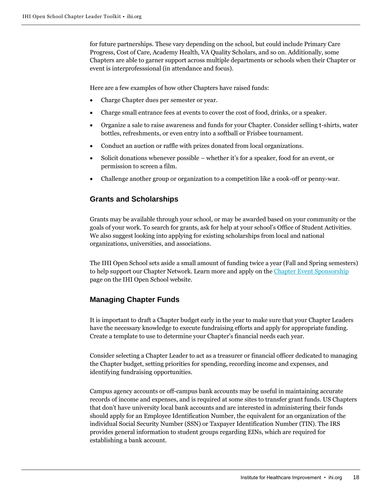for future partnerships. These vary depending on the school, but could include Primary Care Progress, Cost of Care, Academy Health, VA Quality Scholars, and so on. Additionally, some Chapters are able to garner support across multiple departments or schools when their Chapter or event is interprofesssional (in attendance and focus).

Here are a few examples of how other Chapters have raised funds:

- Charge Chapter dues per semester or year.
- Charge small entrance fees at events to cover the cost of food, drinks, or a speaker.
- Organize a sale to raise awareness and funds for your Chapter. Consider selling t-shirts, water bottles, refreshments, or even entry into a softball or Frisbee tournament.
- Conduct an auction or raffle with prizes donated from local organizations.
- Solicit donations whenever possible whether it's for a speaker, food for an event, or permission to screen a film.
- Challenge another group or organization to a competition like a cook-off or penny-war.

## **Grants and Scholarships**

Grants may be available through your school, or may be awarded based on your community or the goals of your work. To search for grants, ask for help at your school's Office of Student Activities. We also suggest looking into applying for existing scholarships from local and national organizations, universities, and associations.

The IHI Open School sets aside a small amount of funding twice a year (Fall and Spring semesters) to help support our Chapter Network. Learn more and apply on the [Chapter Event Sponsorship](http://www.ihi.org/education/IHIOpenSchool/Chapters/Pages/ChapterEventSponsorship.aspx) page on the IHI Open School website.

## **Managing Chapter Funds**

It is important to draft a Chapter budget early in the year to make sure that your Chapter Leaders have the necessary knowledge to execute fundraising efforts and apply for appropriate funding. Create a template to use to determine your Chapter's financial needs each year.

Consider selecting a Chapter Leader to act as a treasurer or financial officer dedicated to managing the Chapter budget, setting priorities for spending, recording income and expenses, and identifying fundraising opportunities.

Campus agency accounts or off-campus bank accounts may be useful in maintaining accurate records of income and expenses, and is required at some sites to transfer grant funds. US Chapters that don't have university local bank accounts and are interested in administering their funds should apply for an Employee Identification Number, the equivalent for an organization of the individual Social Security Number (SSN) or Taxpayer Identification Number (TIN). The IRS provides general information to student groups regarding EINs, which are required for establishing a bank account.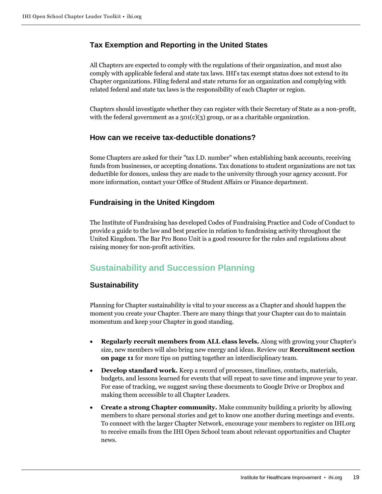# **Tax Exemption and Reporting in the United States**

All Chapters are expected to comply with the regulations of their organization, and must also comply with applicable federal and state tax laws. IHI's tax exempt status does not extend to its Chapter organizations. Filing federal and state returns for an organization and complying with related federal and state tax laws is the responsibility of each Chapter or region.

Chapters should investigate whether they can register with their Secretary of State as a non-profit, with the federal government as a  $501(c)(3)$  group, or as a charitable organization.

## **How can we receive tax-deductible donations?**

Some Chapters are asked for their "tax I.D. number" when establishing bank accounts, receiving funds from businesses, or accepting donations. Tax donations to student organizations are not tax deductible for donors, unless they are made to the university through your agency account. For more information, contact your Office of Student Affairs or Finance department.

# **Fundraising in the United Kingdom**

The Institute of Fundraising has developed Codes of Fundraising Practice and Code of Conduct to provide a guide to the law and best practice in relation to fundraising activity throughout the United Kingdom. The Bar Pro Bono Unit is a good resource for the rules and regulations about raising money for non-profit activities.

# <span id="page-18-0"></span>**Sustainability and Succession Planning**

## **Sustainability**

Planning for Chapter sustainability is vital to your success as a Chapter and should happen the moment you create your Chapter. There are many things that your Chapter can do to maintain momentum and keep your Chapter in good standing.

- **Regularly recruit members from ALL class levels.** Along with growing your Chapter's size, new members will also bring new energy and ideas. Review our **Recruitment section on page 11** for more tips on putting together an interdisciplinary team.
- **Develop standard work.** Keep a record of processes, timelines, contacts, materials, budgets, and lessons learned for events that will repeat to save time and improve year to year. For ease of tracking, we suggest saving these documents to Google Drive or Dropbox and making them accessible to all Chapter Leaders.
- **Create a strong Chapter community.** Make community building a priority by allowing members to share personal stories and get to know one another during meetings and events. To connect with the larger Chapter Network, encourage your members to register on IHI.org to receive emails from the IHI Open School team about relevant opportunities and Chapter news.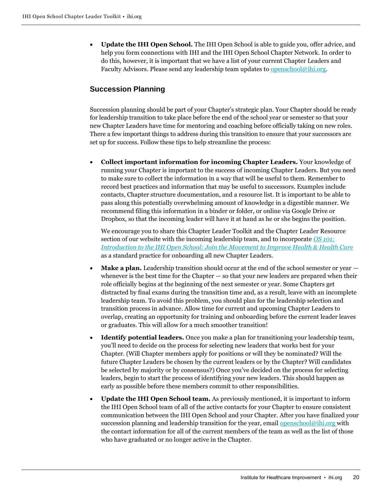• **Update the IHI Open School.** The IHI Open School is able to guide you, offer advice, and help you form connections with IHI and the IHI Open School Chapter Network. In order to do this, however, it is important that we have a list of your current Chapter Leaders and Faculty Advisors. Please send any leadership team updates to [openschool@ihi.org.](mailto:openschool@ihi.org)

# **Succession Planning**

Succession planning should be part of your Chapter's strategic plan. Your Chapter should be ready for leadership transition to take place before the end of the school year or semester so that your new Chapter Leaders have time for mentoring and coaching before officially taking on new roles. There a few important things to address during this transition to ensure that your successors are set up for success. Follow these tips to help streamline the process:

• **Collect important information for incoming Chapter Leaders.** Your knowledge of running your Chapter is important to the success of incoming Chapter Leaders. But you need to make sure to collect the information in a way that will be useful to them. Remember to record best practices and information that may be useful to successors. Examples include contacts, Chapter structure documentation, and a resource list. It is important to be able to pass along this potentially overwhelming amount of knowledge in a digestible manner. We recommend filing this information in a binder or folder, or online via Google Drive or Dropbox, so that the incoming leader will have it at hand as he or she begins the position.

We encourage you to share this Chapter Leader Toolkit and the Chapter Leader Resource section of our website with the incoming leadership team, and to incorporate *[OS 101:](http://www.ihi.org/education/IHIOpenSchool/Courses/Pages/IntroductionToTheIHIOpenSchool.aspx)  [Introduction to the IHI Open School: Join the](http://www.ihi.org/education/IHIOpenSchool/Courses/Pages/IntroductionToTheIHIOpenSchool.aspx) Movement to Improve Health & Health Care* as a standard practice for onboarding all new Chapter Leaders.

- **Make a plan.** Leadership transition should occur at the end of the school semester or year  $$ whenever is the best time for the Chapter — so that your new leaders are prepared when their role officially begins at the beginning of the next semester or year. Some Chapters get distracted by final exams during the transition time and, as a result, leave with an incomplete leadership team. To avoid this problem, you should plan for the leadership selection and transition process in advance. Allow time for current and upcoming Chapter Leaders to overlap, creating an opportunity for training and onboarding before the current leader leaves or graduates. This will allow for a much smoother transition!
- **Identify potential leaders.** Once you make a plan for transitioning your leadership team, you'll need to decide on the process for selecting new leaders that works best for your Chapter. (Will Chapter members apply for positions or will they be nominated? Will the future Chapter Leaders be chosen by the current leaders or by the Chapter? Will candidates be selected by majority or by consensus?) Once you've decided on the process for selecting leaders, begin to start the process of identifying your new leaders. This should happen as early as possible before these members commit to other responsibilities.
- **Update the IHI Open School team.** As previously mentioned, it is important to inform the IHI Open School team of all of the active contacts for your Chapter to ensure consistent communication between the IHI Open School and your Chapter. After you have finalized your succession planning and leadership transition for the year, email [openschool@ihi.org](mailto:openschool@ihi.org) with the contact information for all of the current members of the team as well as the list of those who have graduated or no longer active in the Chapter.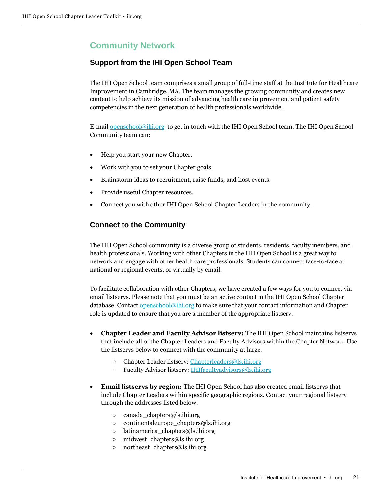# **Community Network**

# **Support from the IHI Open School Team**

The IHI Open School team comprises a small group of full-time staff at the Institute for Healthcare Improvement in Cambridge, MA. The team manages the growing community and creates new content to help achieve its mission of advancing health care improvement and patient safety competencies in the next generation of health professionals worldwide.

E-mail **openschool@ihi.org** to get in touch with the IHI Open School team. The IHI Open School Community team can:

- Help you start your new Chapter.
- Work with you to set your Chapter goals.
- Brainstorm ideas to recruitment, raise funds, and host events.
- Provide useful Chapter resources.
- Connect you with other IHI Open School Chapter Leaders in the community.

# **Connect to the Community**

The IHI Open School community is a diverse group of students, residents, faculty members, and health professionals. Working with other Chapters in the IHI Open School is a great way to network and engage with other health care professionals. Students can connect face-to-face at national or regional events, or virtually by email.

To facilitate collaboration with other Chapters, we have created a few ways for you to connect via email listservs. Please note that you must be an active contact in the IHI Open School Chapter database. Contact  $\frac{openschool@ihi.org}{obj}$  to make sure that your contact information and Chapter role is updated to ensure that you are a member of the appropriate listserv.

- **Chapter Leader and Faculty Advisor listserv:** The IHI Open School maintains listservs that include all of the Chapter Leaders and Faculty Advisors within the Chapter Network. Use the listservs below to connect with the community at large.
	- Chapter Leader listserv: [Chapterleaders@ls.ihi.org](mailto:Chapterleaders@ls.ihi.org)
	- Faculty Advisor listserv[: IHIfacultyadvisors@ls.ihi.org](mailto:IHIfacultyadvisors@ls.ihi.org)
- **Email listservs by region:** The IHI Open School has also created email listservs that include Chapter Leaders within specific geographic regions. Contact your regional listserv through the addresses listed below:
	- canada\_chapters@ls.ihi.org
	- continentaleurope\_chapters@ls.ihi.org
	- $\circ$  latinamerica chapters@ls.ihi.org
	- midwest\_chapters@ls.ihi.org
	- $\circ$  northeast chapters@ls.ihi.org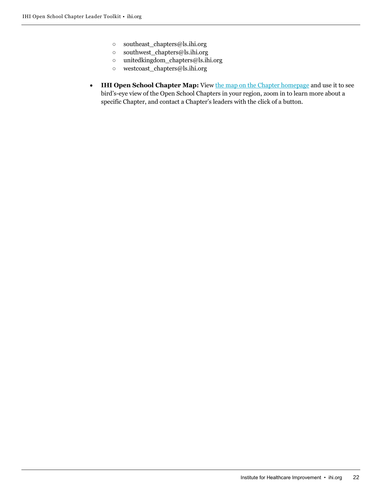- southeast\_chapters@ls.ihi.org
- southwest\_chapters@ls.ihi.org
- unitedkingdom\_chapters@ls.ihi.org
- westcoast\_chapters@ls.ihi.org
- **IHI Open School Chapter Map:** View [the map on the Chapter homepage](http://www.ihi.org/education/IHIOpenSchool/Chapters/Pages/ChapterDirectory.aspx) and use it to see bird's-eye view of the Open School Chapters in your region, zoom in to learn more about a specific Chapter, and contact a Chapter's leaders with the click of a button.